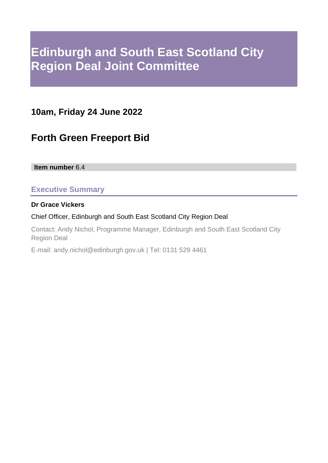# **Edinburgh and South East Scotland City Region Deal Joint Committee**

# **10am, Friday 24 June 2022**

# **Forth Green Freeport Bid**

**Item number** 6.4

# **Executive Summary**

#### **Dr Grace Vickers**

#### Chief Officer, Edinburgh and South East Scotland City Region Deal

Contact: Andy Nichol, Programme Manager, Edinburgh and South East Scotland City Region Deal

E-mail: andy.nichol@edinburgh.gov.uk | Tel: 0131 529 4461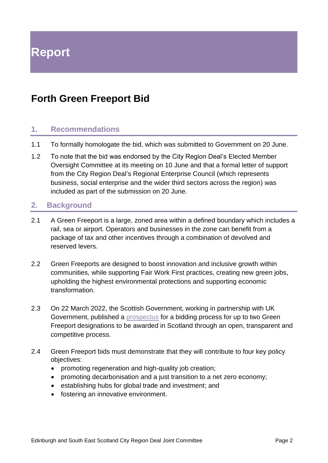# **Forth Green Freeport Bid**

### **1. Recommendations**

- 1.1 To formally homologate the bid, which was submitted to Government on 20 June.
- 1.2 To note that the bid was endorsed by the City Region Deal's Elected Member Oversight Committee at its meeting on 10 June and that a formal letter of support from the City Region Deal's Regional Enterprise Council (which represents business, social enterprise and the wider third sectors across the region) was included as part of the submission on 20 June.

### **2. Background**

- 2.1 A Green Freeport is a large, zoned area within a defined boundary which includes a rail, sea or airport. Operators and businesses in the zone can benefit from a package of tax and other incentives through a combination of devolved and reserved levers.
- 2.2 Green Freeports are designed to boost innovation and inclusive growth within communities, while supporting Fair Work First practices, creating new green jobs, upholding the highest environmental protections and supporting economic transformation.
- 2.3 On 22 March 2022, the Scottish Government, working in partnership with UK Government, published a [prospectus](https://www.gov.uk/government/publications/green-freeports-in-scotland-bidding-prospectus) for a bidding process for up to two Green Freeport designations to be awarded in Scotland through an open, transparent and competitive process.
- 2.4 Green Freeport bids must demonstrate that they will contribute to four key policy objectives:
	- promoting regeneration and high-quality job creation;
	- promoting decarbonisation and a just transition to a net zero economy;
	- establishing hubs for global trade and investment; and
	- fostering an innovative environment.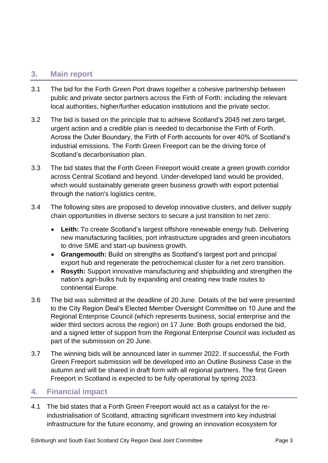### **3. Main report**

- 3.1 The bid for the Forth Green Port draws together a cohesive partnership between public and private sector partners across the Firth of Forth: including the relevant local authorities, higher/further education institutions and the private sector.
- 3.2 The bid is based on the principle that to achieve Scotland's 2045 net zero target, urgent action and a credible plan is needed to decarbonise the Firth of Forth. Across the Outer Boundary, the Firth of Forth accounts for over 40% of Scotland's industrial emissions. The Forth Green Freeport can be the driving force of Scotland's decarbonisation plan.
- 3.3 The bid states that the Forth Green Freeport would create a green growth corridor across Central Scotland and beyond. Under-developed land would be provided, which would sustainably generate green business growth with export potential through the nation's logistics centre,
- 3.4 The following sites are proposed to develop innovative clusters, and deliver supply chain opportunities in diverse sectors to secure a just transition to net zero:
	- **Leith:** To create Scotland's largest offshore renewable energy hub. Delivering new manufacturing facilities, port infrastructure upgrades and green incubators to drive SME and start-up business growth.
	- **Grangemouth:** Build on strengths as Scotland's largest port and principal export hub and regenerate the petrochemical cluster for a net zero transition.
	- **Rosyth:** Support innovative manufacturing and shipbuilding and strengthen the nation's agri-bulks hub by expanding and creating new trade routes to continental Europe.
- 3.6 The bid was submitted at the deadline of 20 June. Details of the bid were presented to the City Region Deal's Elected Member Oversight Committee on 10 June and the Regional Enterprise Council (which represents business, social enterprise and the wider third sectors across the region) on 17 June. Both groups endorsed the bid, and a signed letter of support from the Regional Enterprise Council was included as part of the submission on 20 June.
- 3.7 The winning bids will be announced later in summer 2022. If successful, the Forth Green Freeport submission will be developed into an Outline Business Case in the autumn and will be shared in draft form with all regional partners. The first Green Freeport in Scotland is expected to be fully operational by spring 2023.

### **4. Financial impact**

4.1 The bid states that a Forth Green Freeport would act as a catalyst for the reindustrialisation of Scotland, attracting significant investment into key industrial infrastructure for the future economy, and growing an innovation ecosystem for